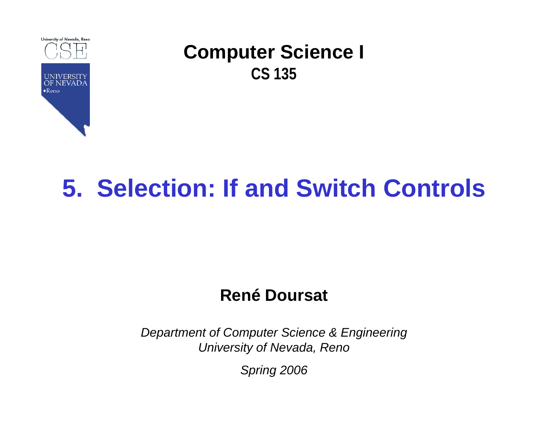

# **5. Selection: If and Switch Controls**

#### **René Doursat**

*Department of Computer Science & Engineering University of Nevada, Reno*

*Spring 2006*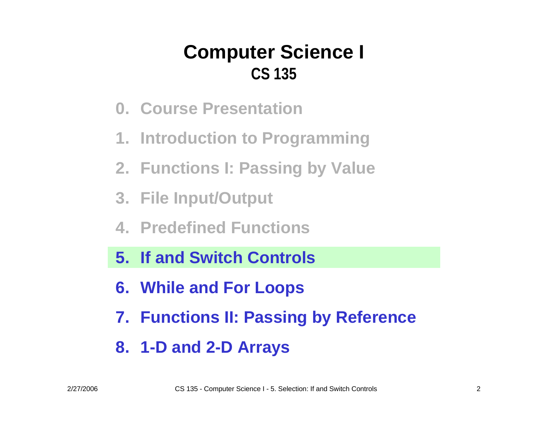- **0. Course Presentation**
- **1. Introduction to Programming**
- **2. Functions I: Passing by Value**
- **3. File Input/Output**
- **4. Predefined Functions**
- **5. If and Switch Controls**
- **6. While and For Loops**
- **7. Functions II: Passing by Reference**
- **8. 1-D and 2-D Arrays**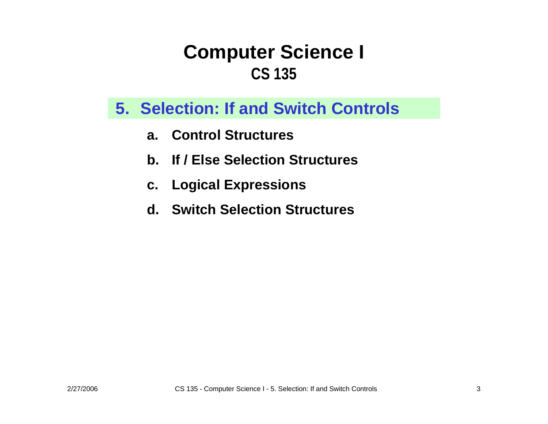#### **5. Selection: If and Switch Controls**

- **a. Control Structures**
- **b. If / Else Selection Structures**
- **c. Logical Expressions**
- **d. Switch Selection Structures**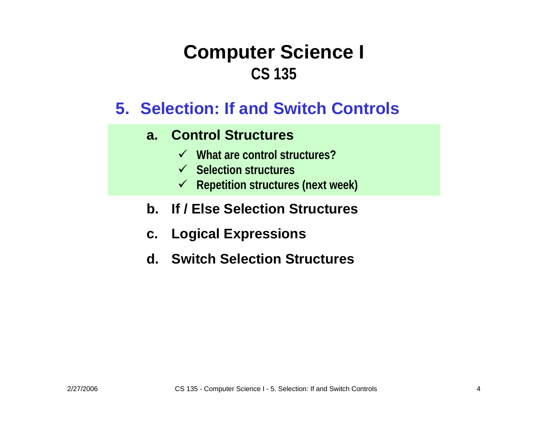#### **5. Selection: If and Switch Controls**

#### **a. Control Structures**

- 9 **What are control structures?**
- 9 **Selection structures**
- 9 **Repetition structures (next week)**

#### **b. If / Else Selection Structures**

- **c. Logical Expressions**
- **d. Switch Selection Structures**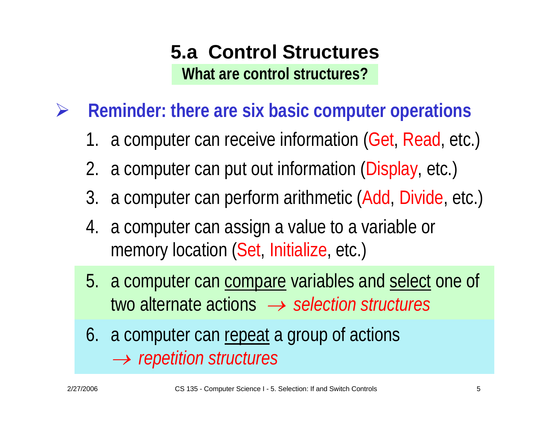### **5.a Control StructuresWhat are control structures?**

¾**Reminder: there are six basic computer operations**

- 1. a computer can receive information (Get, Read, etc.)
- 2. a computer can put out information (Display, etc.)
- 3. a computer can perform arithmetic (Add, Divide, etc.)
- 4. a computer can assign a value to a variable or memory location (Set, Initialize, etc.)
- 5. a computer can compare variables and select one of two alternate actions → *selection structures*
- 6. a computer can repeat a group of actions → *repetition structures*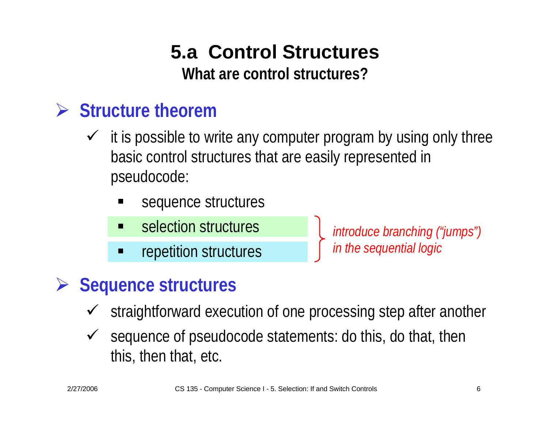# **5.a Control Structures**

**What are control structures?**

### ¾ **Structure theorem**

- $\checkmark$  it is possible to write any computer program by using only three basic control structures that are easily represented in pseudocode:
	- sequence structures
	- $\blacksquare$ selection structures
	- repetition structures

*introduce branching ("jumps") in the sequential logic*

#### ¾**Sequence structures**

- $\checkmark$ straightforward execution of one processing step after another
- $\sqrt{ }$  sequence of pseudocode statements: do this, do that, then this, then that, etc.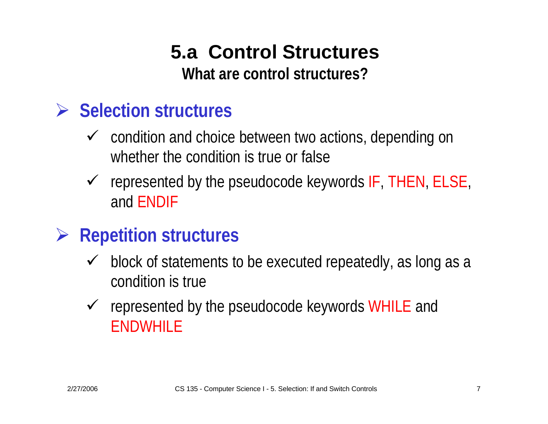# **5.a Control Structures**

**What are control structures?**

### ¾ **Selection structures**

- $\checkmark$  condition and choice between two actions, depending on whether the condition is true or false
- $\checkmark$  represented by the pseudocode keywords IF, THEN, ELSE, and ENDIF
- ¾ **Repetition structures**
	- $\checkmark$  block of statements to be executed repeatedly, as long as a condition is true
	- $\checkmark$  represented by the pseudocode keywords WHILE and ENDWHILE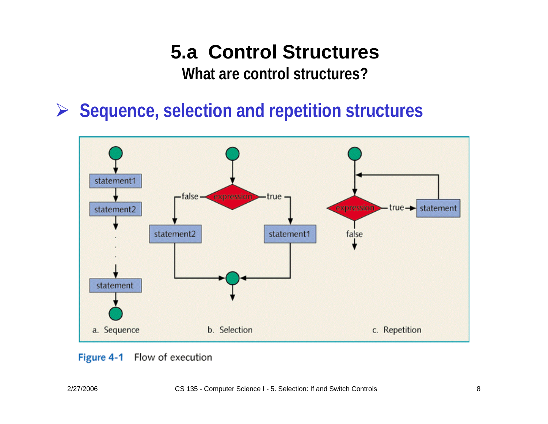# **5.a Control Structures**

**What are control structures?**

¾ **Sequence, selection and repetition structures**



#### Flow of execution Figure 4-1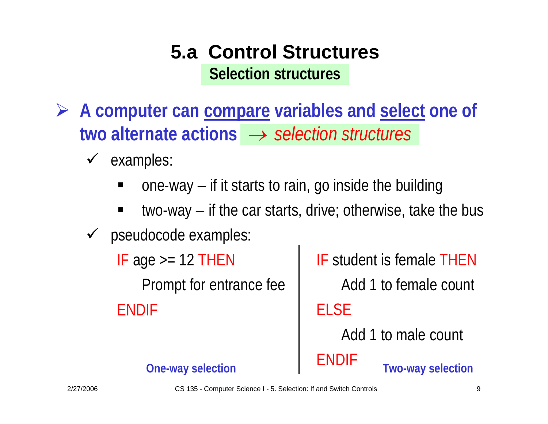### **5.a Control StructuresSelection structures**

- ¾ **A computer can compare variables and select one of two alternate actions** → *selection structures*
	- $\checkmark$  examples:
		- ■ one-way —  $-$  if it starts to rain, go inside the building
		- ■ two-way  $-$  if the car starts, drive; otherwise, take the bus
	- $\sqrt{ }$  pseudocode examples:
		- IF age  $>$  12 THEN

Prompt for entrance fee

ENDIF

IF student is female THENAdd 1 to female count ELSEAdd 1 to male count

#### ENDIF

**Two-way selection**

**One-way selection**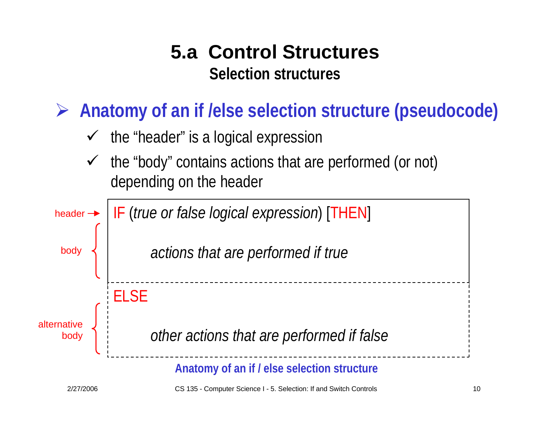### **5.a Control StructuresSelection structures**

¾ **Anatomy of an if /else selection structure (pseudocode)**

- $\checkmark$  the "header" is a logical expression
- $\checkmark$  the "body" contains actions that are performed (or not) depending on the header

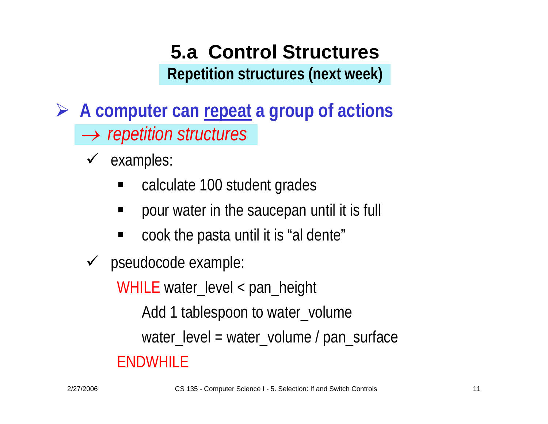### **5.a Control StructuresRepetition structures (next week)**

- ¾ **A computer can repeat a group of actions** → *repetition structures*
	- $\checkmark$  examples:
		- $\blacksquare$ calculate 100 student grades
		- pour water in the saucepan until it is full
		- $\blacksquare$ cook the pasta until it is "al dente"
	- $\checkmark$  pseudocode example:

WHILE water\_level < pan\_height

Add 1 tablespoon to water\_volume

water\_level = water\_volume / pan\_surface

#### ENDWHILE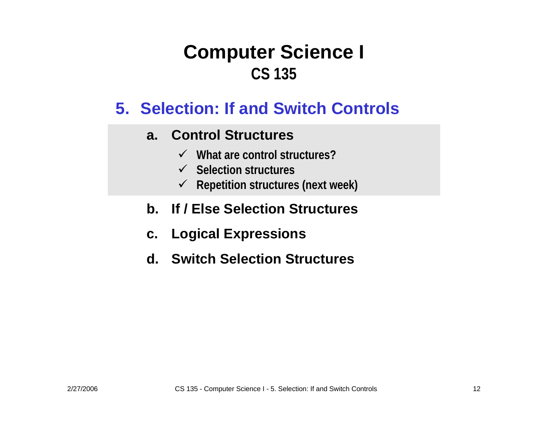#### **5. Selection: If and Switch Controls**

#### **a. Control Structures**

- 9 **What are control structures?**
- 9 **Selection structures**
- 9 **Repetition structures (next week)**

#### **b.If / Else Selection Structures**

- **c. Logical Expressions**
- **d. Switch Selection Structures**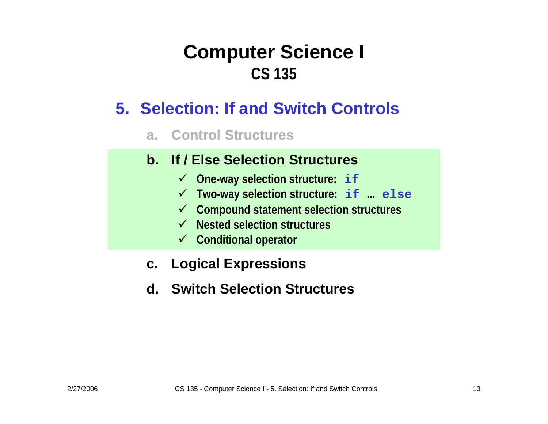#### **5. Selection: If and Switch Controls**

#### **a. Control Structures**

#### **b. If / Else Selection Structures**

- 9 **One-way selection structure: if**
- 9 **Two-way selection structure: if … else**
- 9 **Compound statement selection structures**
- 9 **Nested selection structures**
- 9 **Conditional operator**
- **c. Logical Expressions**
- **d. Switch Selection Structures**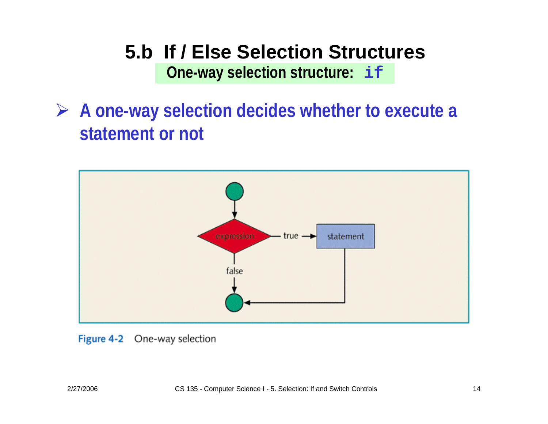**One-way selection structure: if**

¾ **A one-way selection decides whether to execute a statement or not**



Figure 4-2 One-way selection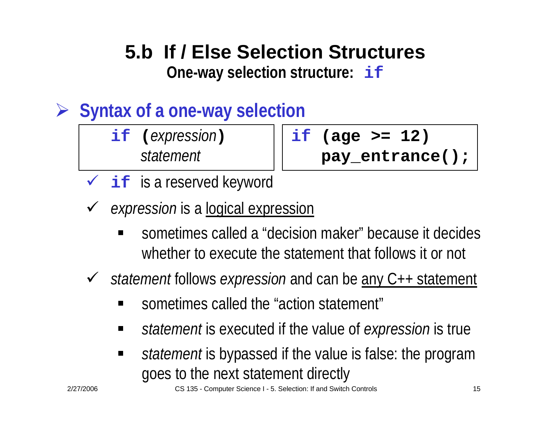**One-way selection structure: if**

# ¾ **Syntax of a one-way selection**

**if (***expression statement*

```
) if (age >= 12)
```
**pay\_entrance();**

- $\checkmark$  is a reserved keyword
- $\checkmark$  *expression* is a logical expression
	- sometimes called a "decision maker" because it decides whether to execute the statement that follows it or not

 $\checkmark$ *statement* follows *expression* and can be any C++ statement

- sometimes called the "action statement"
- *statement* is executed if the value of *expression* is true
- $\blacksquare$  *statement* is bypassed if the value is false: the program goes to the next statement directly

2/27/2006 CS 135 - Computer Science I - 5. Selection: If and Switch Controls 15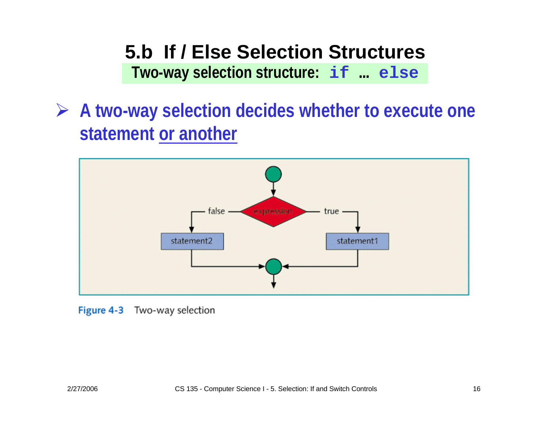#### **5.b If / Else Selection StructuresTwo-way selection structure: if … else**

**A two-way selection decides whether to execute one**  ¾**statement or another**



Figure 4-3 Two-way selection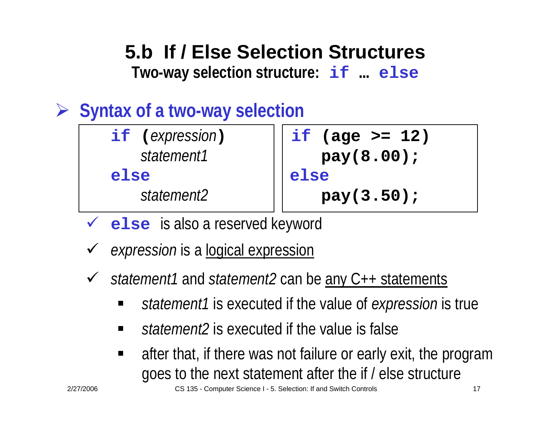#### **5.b If / Else Selection StructuresTwo-way selection structure: if … else**

¾ **Syntax of a two-way selection**

|            | if (expression) |  |
|------------|-----------------|--|
|            | statement1      |  |
| else       |                 |  |
| statement2 |                 |  |

**) if (age >= 12) pay(8.00); else else** 

$$
2 \qquad || \qquad \mathbf{pay(3.50)};
$$

- $\checkmark$ **else** is also a reserved keyword
- $\checkmark$ *expression* is a logical expression
- $\checkmark$  *statement1* and *statement2* can be any C++ statements
	- *statement1* is executed if the value of *expression* is true
	- *statement2* is executed if the value is false
	- $\blacksquare$  after that, if there was not failure or early exit, the program goes to the next statement after the if / else structure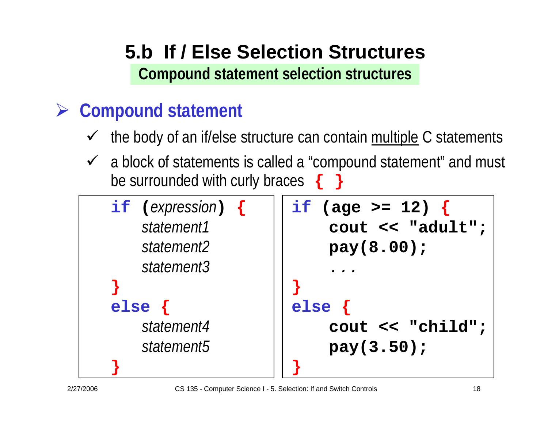#### **5.b If / Else Selection StructuresCompound statement selection structures**

#### ¾**Compound statement**

- $\checkmark$ the body of an if/else structure can contain multiple C statements
- $\checkmark$  a block of statements is called a "compound statement" and must be surrounded with curly braces **{ }**

| if (expression) {      | if (age $>= 12$ ) { |
|------------------------|---------------------|
| statement1             | cout << "adult";    |
| statement <sub>2</sub> | pay(8.00);          |
| statement3             |                     |
|                        |                     |
| $else$ ${f}$           | else                |
| statement4             | cout << "child";    |
| statement <sub>5</sub> | pay(3.50);          |
|                        |                     |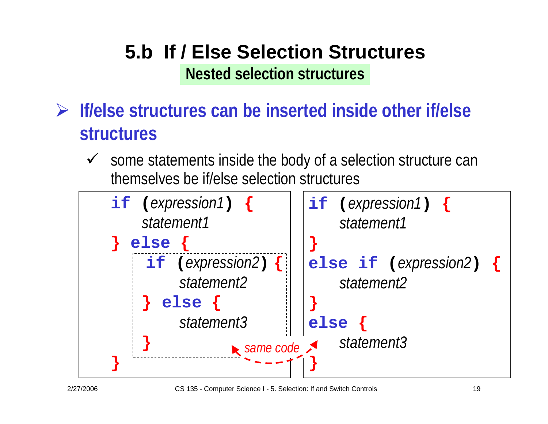**Nested selection structures**

- ¾ **If/else structures can be inserted inside other if/else structures**
	- $\checkmark$  some statements inside the body of a selection structure can themselves be if/else selection structures

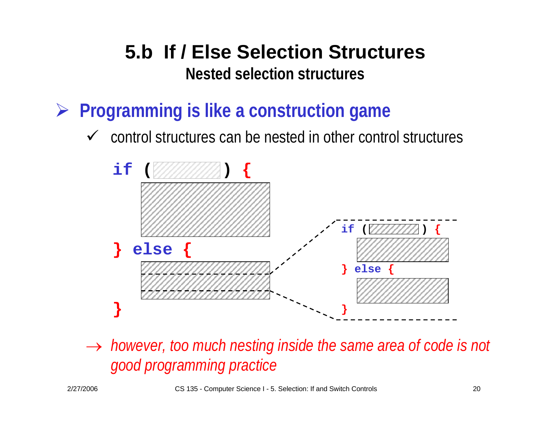**Nested selection structures**

- ¾ **Programming is like a construction game**
	- $\checkmark$  control structures can be nested in other control structures



 $\rightarrow$  *however, too much nesting inside the same area of code is not good programming practice*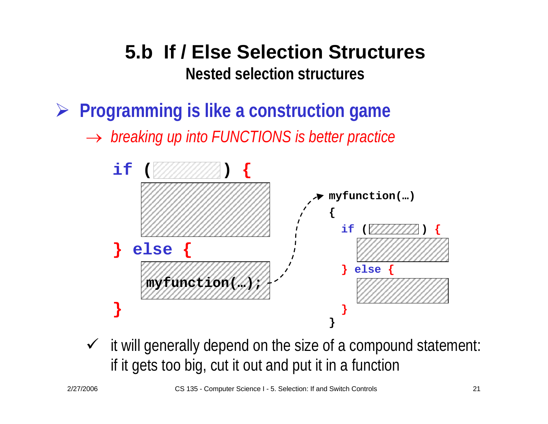**Nested selection structures**

¾**Programming is like a construction game**

→ *breaking up into FUNCTIONS is better practice*



 $\checkmark$  it will generally depend on the size of a compound statement: if it gets too big, cut it out and put it in a function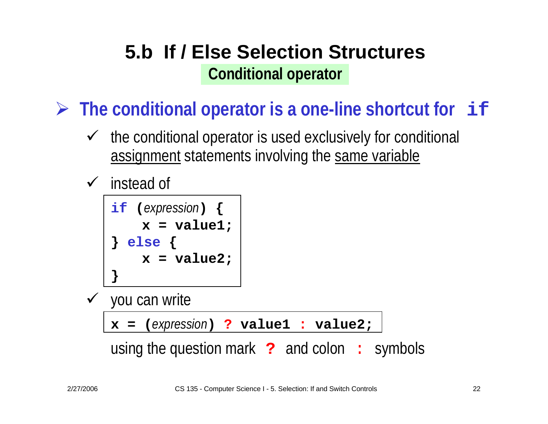### **5.b If / Else Selection StructuresConditional operator**

¾ **The conditional operator is a one-line shortcut for if**

- $\checkmark$  the conditional operator is used exclusively for conditional assignment statements involving the same variable
- $\checkmark$ instead of

```
if 
(expression) {
    x = value1;
} else
{
    x = value2;
}
```
 $\checkmark$  you can write **x = (***expression***) ? value1 : value2;**

using the question mark **?** and colon : symbols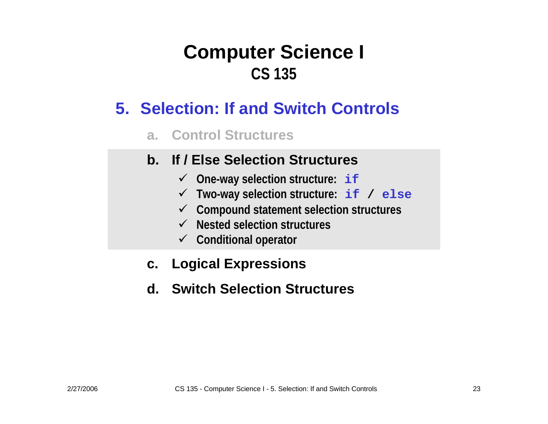#### **5. Selection: If and Switch Controls**

#### **a. Control Structures**

#### **b. If / Else Selection Structures**

- 9 **One-way selection structure: if**
- 9 **Two-way selection structure: if / else**
- 9 **Compound statement selection structures**
- 9 **Nested selection structures**
- 9 **Conditional operator**

#### **c. Logical Expressions**

#### **d. Switch Selection Structures**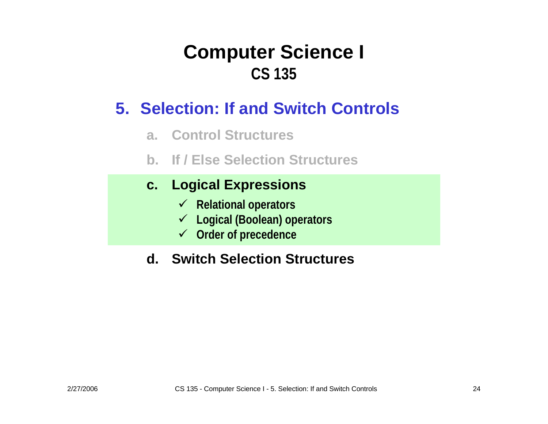#### **5. Selection: If and Switch Controls**

- **a. Control Structures**
- **b. If / Else Selection Structures**

#### **c. Logical Expressions**

- 9 **Relational operators**
- 9 **Logical (Boolean) operators**
- 9 **Order of precedence**

#### **d. Switch Selection Structures**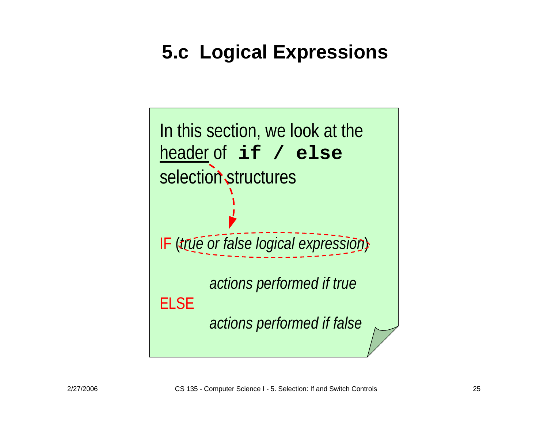# **5.c Logical Expressions**

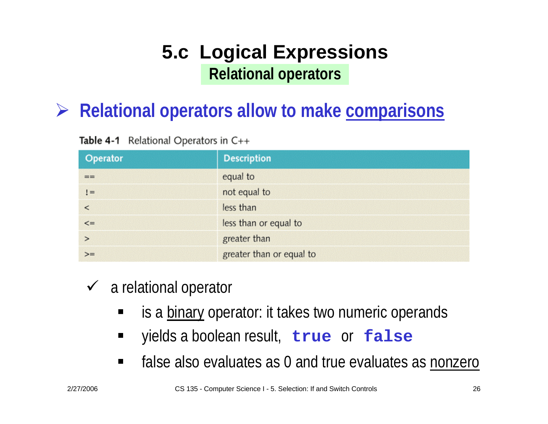# ¾ **Relational operators allow to make comparisons**

Table 4-1 Relational Operators in  $C_{++}$ 

| Operator   | <b>Description</b>       |
|------------|--------------------------|
| $==$       | equal to                 |
| $!=$       | not equal to             |
| $\epsilon$ | less than                |
| $\leq$     | less than or equal to    |
| $\geq$     | greater than             |
| $>=$       | greater than or equal to |

- $\checkmark$  a relational operator
	- × is a binary operator: it takes two numeric operands
	- п yields a boolean result, **true** or **false**
	- $\blacksquare$ false also evaluates as 0 and true evaluates as nonzero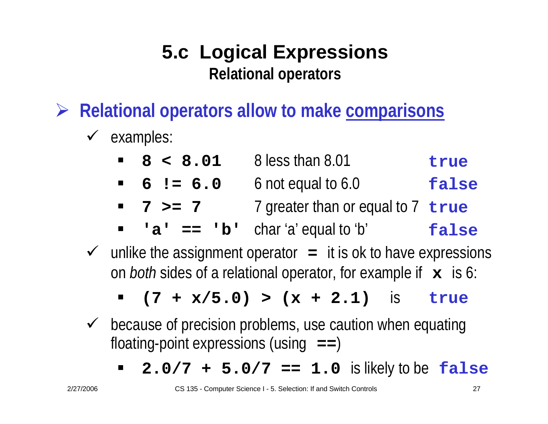- ¾ **Relational operators allow to make comparisons**
	- $\checkmark$  examples:
		- **8 < 8.01** 8 less than 8.01 **true**
		- **6 != 6.0** 6 not equal to 6.0 **false**
		- **7 >= 77** 7 greater than or equal to 7 **true**
		- E **'a' == 'b'** char 'a' equal to 'b' **false**
	- $\checkmark$  unlike the assignment operator  $\checkmark$  = it is ok to have expressions on *both* sides of a relational operator, for example if **<sup>x</sup>**is 6:
		- **(7 + x/5.0) > (x + 2.1)** is **true**
	- $\checkmark$  because of precision problems, use caution when equating floating-point expressions (using **==** )
		- $\blacksquare$ **2.0/7 + 5.0/7 == 1.0** is likely to be **false**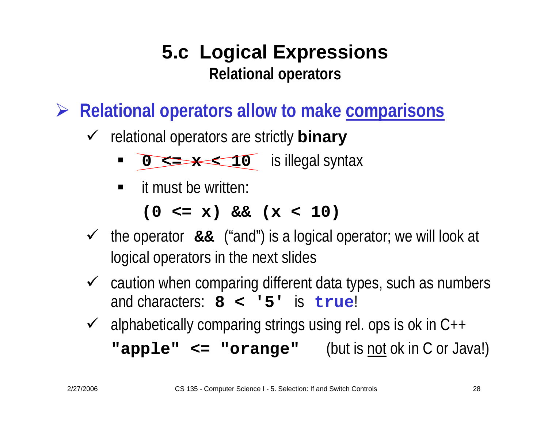¾ **Relational operators allow to make comparisons**

9 relational operators are strictly **binary**

**0 <= x < 10** is illegal syntax

 $\blacksquare$ it must be written:

**(0 <= x) && (x < 10)**

- $\checkmark$  the operator  $\&&$  ("and") is a logical operator; we will look at logical operators in the next slides
- $\checkmark$  caution when comparing different data types, such as numbers and characters: **8 < '5'** is **true**!
- $\checkmark$  alphabetically comparing strings using rel. ops is ok in  $C++$ **"apple" <= "orange"** (but is not ok in C or Java!)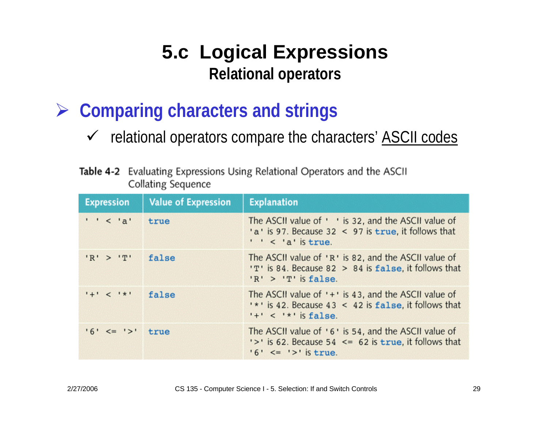- ¾ **Comparing characters and strings**
	- $\checkmark$  relational operators compare the characters' ASCII codes

**Table 4-2** Evaluating Expressions Using Relational Operators and the ASCII Collating Sequence

| <b>Expression</b>            | Value of Expression | <b>Explanation</b>                                                                                                                             |
|------------------------------|---------------------|------------------------------------------------------------------------------------------------------------------------------------------------|
| $\cdot$ $\cdot$ < $\cdot$ a' | true                | The ASCII value of ' ' is 32, and the ASCII value of<br>'a' is 97. Because $32 < 97$ is true, it follows that<br>$\cdot \cdot$ < 'a' is true.  |
| $'R'$ > $T'$                 | false               | The ASCII value of 'R' is 82, and the ASCII value of<br>'T' is 84. Because 82 > 84 is false, it follows that<br>$'R'$ > $'T'$ is false.        |
| $! + 1 < 1 * 1$              | false               | The ASCII value of $1 + 1$ is 43, and the ASCII value of<br>'*' is 42. Because 43 < 42 is false, it follows that<br>$'$ +' < '*' is false.     |
| $'6' \leq '>}'$ true         |                     | The ASCII value of '6' is 54, and the ASCII value of<br>$\prime$ >' is 62. Because 54 <= 62 is true, it follows that<br>$'6' \leq'>'$ is true. |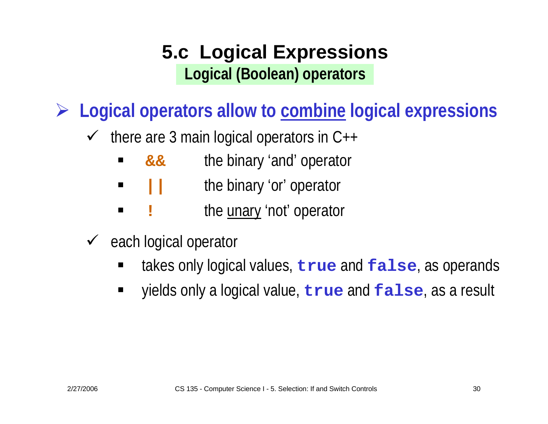¾ **Logical operators allow to combine logical expressions**

- $\sqrt{ }$  there are 3 main logical operators in C++
	- $\blacksquare$  **&&**the binary 'and' operator
	- $\blacksquare$ **||** the binary 'or' operator
	- $\blacksquare$ **!**the unary 'not' operator
- $\checkmark$  each logical operator
	- п takes only logical values, **true** and **false**, as operands
	- п yields only a logical value, **true** and **false**, as a result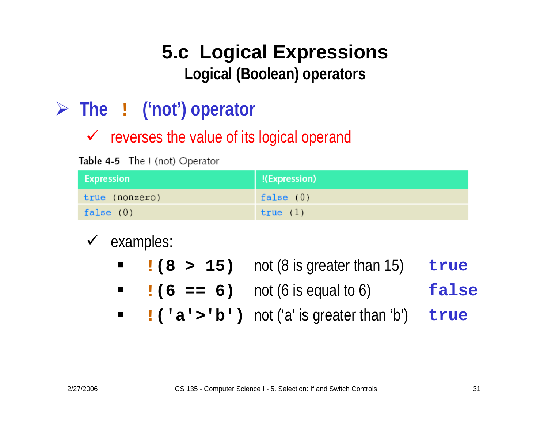### ¾ **The ! ('not') operator**

 $\checkmark$  reverses the value of its logical operand

Table 4-5 The ! (not) Operator

| <b>Expression</b> | I(Expression) |
|-------------------|---------------|
| true (nonzero)    | false $(0)$   |
| false $(0)$       | true $(1)$    |



- $\blacksquare$ **!(8 > 15)** not (8 is greater than 15) **true**
- $\blacksquare$ **!** (6 == 6) not (6 is equal to 6) **false**
- $\blacksquare$ **!('a'>'b')** not ('a' is greater than 'b') **true**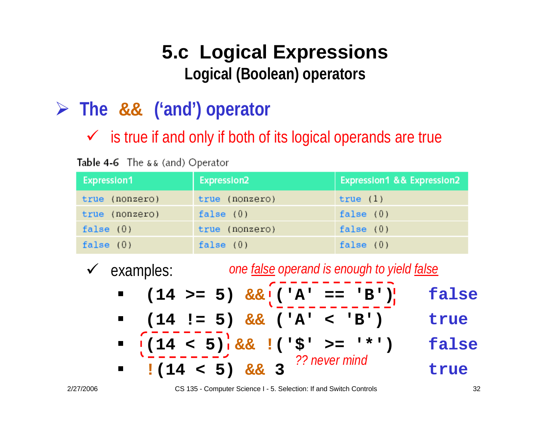## ¾ **The && ('and') operator**

 $\checkmark$  is true if and only if both of its logical operands are true

Table 4-6 The & & (and) Operator

| <b>Expression1</b> | <b>Expression2</b> | <b>Expression1 &amp;&amp; Expression2</b> |
|--------------------|--------------------|-------------------------------------------|
| true (nonzero)     | true (nonzero)     | true $(1)$                                |
| true (nonzero)     | false $(0)$        | false $(0)$                               |
| false $(0)$        | true (nonzero)     | false $(0)$                               |
| false $(0)$        | false $(0)$        | false $(0)$                               |

| $\checkmark$ examples: | one false operand is enough to yield false                                                                                                                                         |       |
|------------------------|------------------------------------------------------------------------------------------------------------------------------------------------------------------------------------|-------|
|                        | ■ (14 >= 5) && $( 'A' == 'B')$                                                                                                                                                     | false |
|                        | $(14 \t= 5) \& (14 \t= 5)$                                                                                                                                                         | true  |
|                        | ■ $(14 < 5)$ $66$ $(5)$ $72$ $16$ $16$ $17$ $18$ $19$ $19$ $11$ $11$ $11$ $12$ $13$ $13$ $15$ $17$ $17$ $17$ $17$ $18$ $19$ $11$ $11$ $12$ $13$ $13$ $15$ $16$ $17$ $18$ $19$ $11$ | false |
|                        |                                                                                                                                                                                    | true  |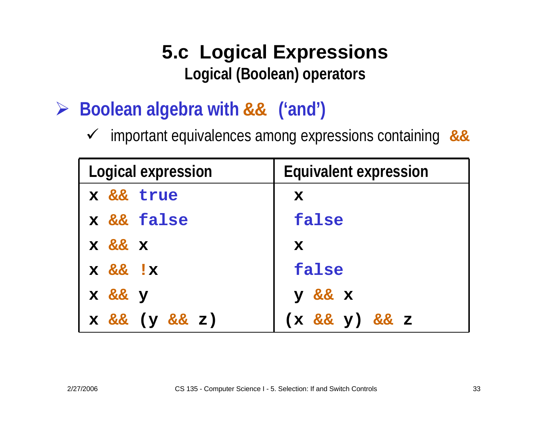- ¾ **Boolean algebra with && ('and')** 
	- $\checkmark$ important equivalences among expressions containing **&&**

| Logical expression | <b>Equivalent expression</b> |
|--------------------|------------------------------|
| x && true          | $\mathbf x$                  |
| x && false         | false                        |
| $X \& \& X$        | $\mathbf x$                  |
| $X \& \& X$        | false                        |
| x && y             | y && x                       |
| $X \&& (y \&& Z)$  | $(x \&x y)$ & $x z$          |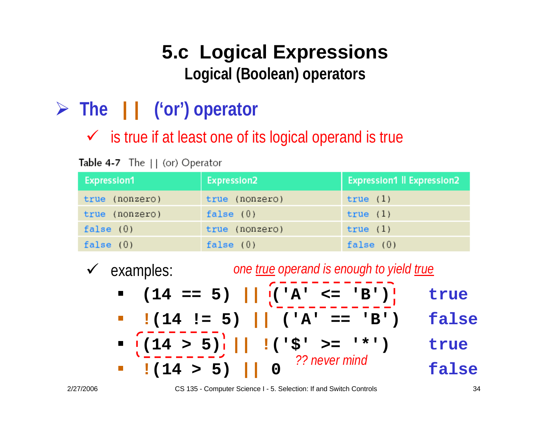# ¾ **The || ('or') operator**

#### $\checkmark$  is true if at least one of its logical operand is true

Table 4-7 The || (or) Operator

| Expression1    | <b>Expression2</b> | <b>Expression1 Il Expression2</b> |
|----------------|--------------------|-----------------------------------|
| true (nonzero) | true (nonzero)     | true $(1)$                        |
| true (nonzero) | false $(0)$        | true $(1)$                        |
| false $(0)$    | true (nonzero)     | true $(1)$                        |
| false $(0)$    | false $(0)$        | false $(0)$                       |

| $\checkmark$ examples:                                                               | one true operand is enough to yield true |  |
|--------------------------------------------------------------------------------------|------------------------------------------|--|
| ■ (14 == 5)    $( 'A' \leq 'B')$                                                     | true                                     |  |
| $\blacksquare$ $\lfloor (14 \rfloor = 5) \rfloor$ $\lfloor (14 \rfloor = 5) \rfloor$ | false                                    |  |
|                                                                                      | true                                     |  |
|                                                                                      | false                                    |  |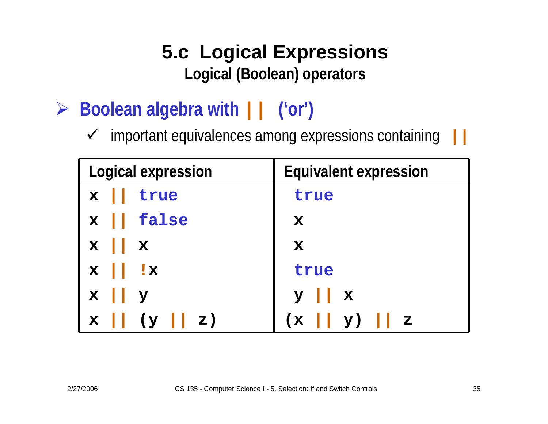- ¾ **Boolean algebra with || ('or')** 
	- $\checkmark$ important equivalences among expressions containing **||**

| <b>Logical expression</b>                         | <b>Equivalent expression</b>                                                                         |
|---------------------------------------------------|------------------------------------------------------------------------------------------------------|
| true<br>$\mathbf x$                               | true                                                                                                 |
| $\vert\vert$ false<br>$\mathbf x$                 | $\mathbf x$                                                                                          |
| $\mathbf x$<br>$\mathbf{I}$ $\mathbf{x}$          | $\mathbf x$                                                                                          |
| $\mathbf{I} \times$<br>$\mathbf{x}$               | true                                                                                                 |
| $\mathbf x$<br>$\mathbf{Y}$                       | $Y \parallel x$                                                                                      |
| $\parallel$ z)<br>$\mathbf{  }$ (y<br>$\mathbf x$ | y  <br>$\begin{array}{c c} \hline \end{array}$ $\begin{array}{c c} \hline \end{array}$<br>( <b>x</b> |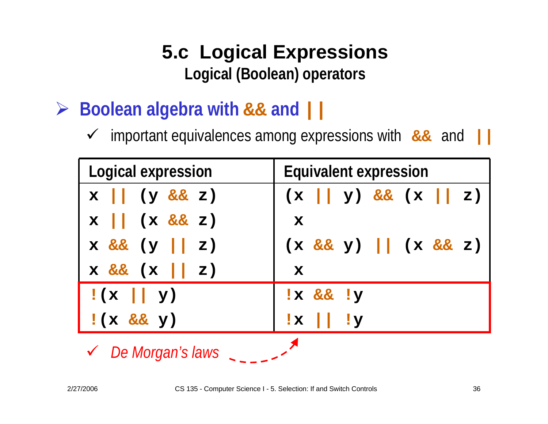- ¾ **Boolean algebra with && and ||**
	- $\checkmark$ important equivalences among expressions with **&&** and **||**

| Logical expression                             | <b>Equivalent expression</b>                                      |
|------------------------------------------------|-------------------------------------------------------------------|
| $\mathbf{x}$   (y & $\mathbf{x}$ z)            | $(\mathbf{x} \mid \mathbf{y})$ & & $(\mathbf{x} \mid \mathbf{z})$ |
| $\mathbf{x} \mid \mid$ (x & \compare z )       | $\mathbf{x}$                                                      |
| $X \&c$ $(y \mid z)$                           | $(x \&x y)$   $(x \&x z)$                                         |
| $\mathbf{x}$ & $\mathbf{\&}$ $\mathbf{x}$   z) | $\mathbf x$                                                       |
| $!(x \mid y)$                                  | $\mathbf{X} \mathbf{x}$ $\mathbf{y}$                              |
| $!(x \&x y)$                                   | $\ x\ $ $\ y\ $                                                   |

9 *De Morgan's laws*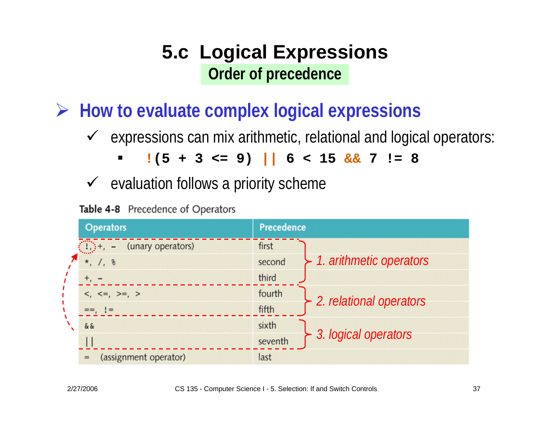### **5.c Logical Expressions Order of precedence**

¾ **How to evaluate complex logical expressions**

- $\checkmark$  expressions can mix arithmetic, relational and logical operators:
	- **!(5 + 3 <= 9) || 6 < 15 && 7 != 8**
- $\checkmark$  evaluation follows a priority scheme

Table 4-8 Precedence of Operators

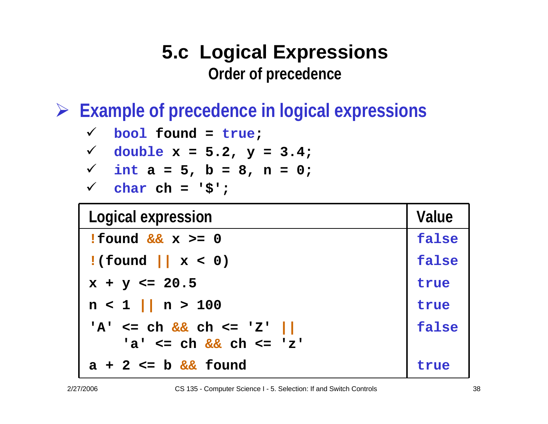### **5.c Logical Expressions Order of precedence**

¾ **Example of precedence in logical expressions**

$$
\checkmark \quad \text{bool found = true;}
$$

$$
\checkmark
$$
 double x = 5.2, y = 3.4;

$$
\checkmark
$$
 int a = 5, b = 8, n = 0;

$$
\checkmark \quad \text{char ch} = \dot{S} \check{\mathbf{S}}.
$$

| Logical expression                                                             | Value |
|--------------------------------------------------------------------------------|-------|
| $!$ found && x >= 0                                                            | false |
| $\lfloor$ (found $\lfloor x < 0 \rfloor$ )                                     | false |
| $x + y \le 20.5$                                                               | true  |
| $n < 1$    $n > 100$                                                           | true  |
| $'A' < = ch \& c \th \csc \th \csc 2'$<br>$'a' < = ch \& c \cdot ch \leq  z' $ | false |
| $a + 2 \le b \& c \quad \text{found}$                                          |       |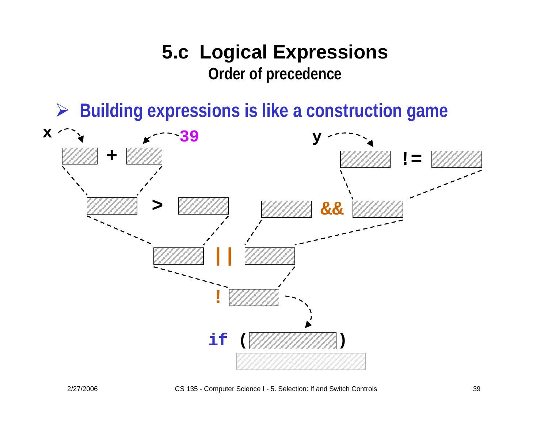### **5.c Logical Expressions Order of precedence**

¾ **Building expressions is like a construction game**

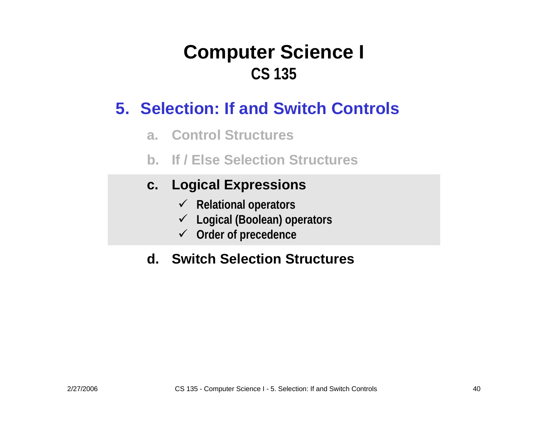#### **5. Selection: If and Switch Controls**

- **a. Control Structures**
- **b. If / Else Selection Structures**

#### **c. Logical Expressions**

- 9 **Relational operators**
- 9 **Logical (Boolean) operators**
- 9 **Order of precedence**

#### **d. Switch Selection Structures**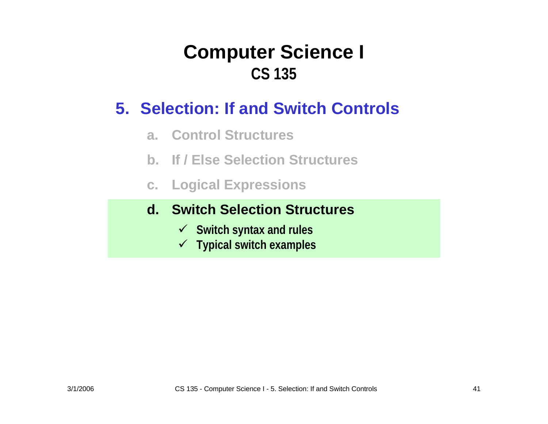#### **5. Selection: If and Switch Controls**

- **a. Control Structures**
- **b. If / Else Selection Structures**
- **c. Logical Expressions**

#### **d. Switch Selection Structures**

- 9 **Switch syntax and rules**
- 9 **Typical switch examples**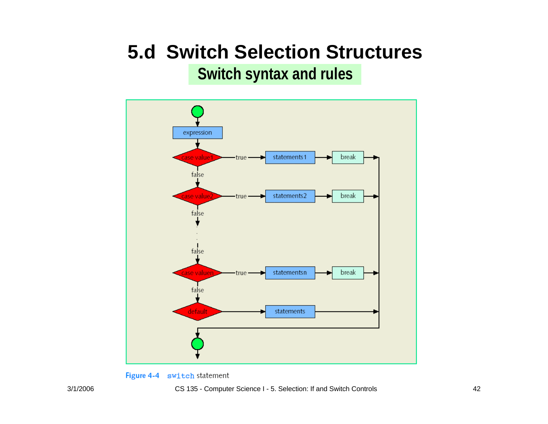# **5.d Switch Selection Structures**

#### **Switch syntax and rules**





#### 3/1/2006 CS 135 - Computer Science I - 5. Selection: If and Switch Controls 42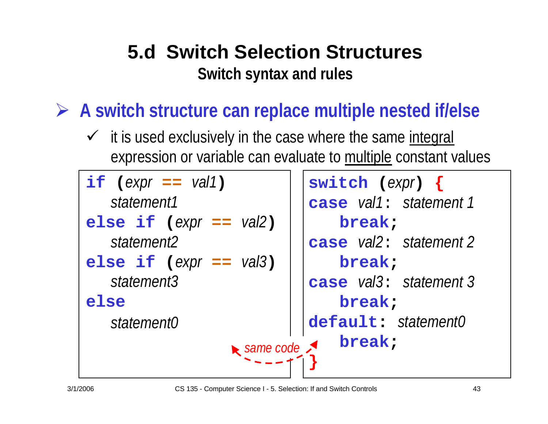## **5.d Switch Selection StructuresSwitch syntax and rules**

¾ **A switch structure can replace multiple nested if/else** 

 $\checkmark$  it is used exclusively in the case where the same integral expression or variable can evaluate to multiple constant values

| if $\exp r == \textit{val1}$           | switch $\left(\frac{\partial P}{\partial x}\right)$ { |
|----------------------------------------|-------------------------------------------------------|
| statement1                             | case val1: statement 1                                |
| else if $\text{c} \exp f = \text{val}$ | break;                                                |
| statement <sub>2</sub>                 | case val2: statement 2                                |
| else if $(exp =  val3)$<br>break;      |                                                       |
| statement3                             | case <i>val3</i> : <i>statement 3</i>                 |
| else<br>break;                         |                                                       |
| statement0                             | default: statement0                                   |
| break;<br>Same code                    |                                                       |
|                                        |                                                       |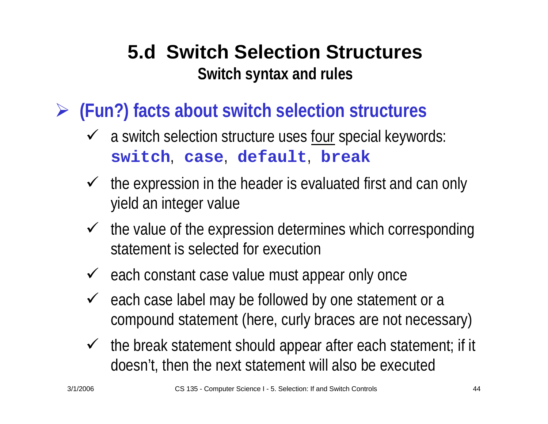## **5.d Switch Selection StructuresSwitch syntax and rules**

- ¾ **(Fun?) facts about switch selection structures**
	- ◆ a switch selection structure uses four special keywords: **switch**, **case**, **default**, **break**
	- $\checkmark$  the expression in the header is evaluated first and can only yield an integer value
	- $\checkmark$  the value of the expression determines which corresponding statement is selected for execution
	- $\checkmark$  each constant case value must appear only once
	- $\checkmark$  each case label may be followed by one statement or a compound statement (here, curly braces are not necessary)
	- $\checkmark$  the break statement should appear after each statement; if it doesn't, then the next statement will also be executed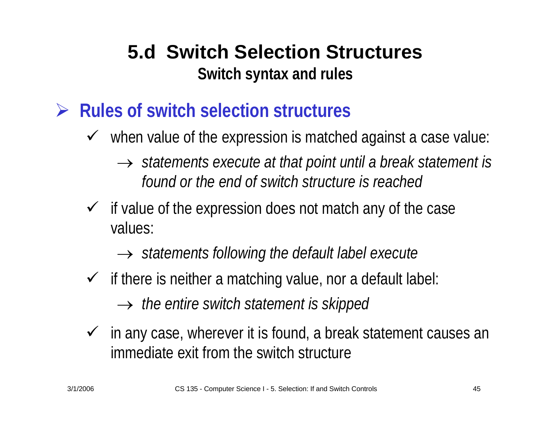#### **5.d Switch Selection StructuresSwitch syntax and rules**

#### ¾**Rules of switch selection structures**

- $\checkmark$  when value of the expression is matched against a case value:
	- → *statements execute at that point until a break statement is found or the end of switch structure is reached*
- $\checkmark$  if value of the expression does not match any of the case values:

#### → *statements following the default label execute*

 $\checkmark$  if there is neither a matching value, nor a default label:

→ *the entire switch statement is skipped*

 $\checkmark$  in any case, wherever it is found, a break statement causes an immediate exit from the switch structure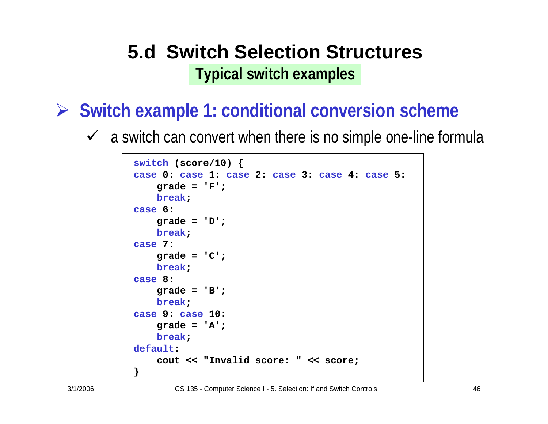## **5.d Switch Selection StructuresTypical switch examples**

- ¾ **Switch example 1: conditional conversion scheme**
	- $\checkmark$  a switch can convert when there is no simple one-line formula

```
switch (score/10) {
case 0: case 1: case 2: case 3: case 4: case 5:
    grade = 'F';
    break;
case 6:
    grade = 'D';
    break;
case 7:
    grade = 'C';
    break;
case 8:
    grade = 'B';
    break;
case 9: case 10:
    grade = 'A';
    break;
default:cout << "Invalid score: " << score;
}
```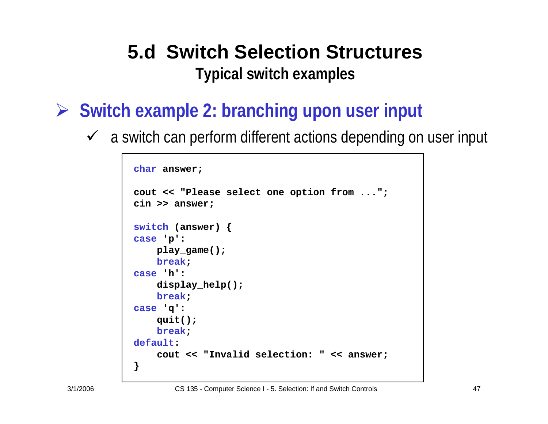### **5.d Switch Selection StructuresTypical switch examples**

- ¾ **Switch example 2: branching upon user input**
	- $\checkmark$  a switch can perform different actions depending on user input

```
char answer;
cout << "Please select one option from ...";
cin >> answer;
switch (answer) {
case 'p':
    play_game();
    break;
case 'h':
    display help();
    break;
case 'q':
    quit();
    break;
default:cout << "Invalid selection: " << answer;
}
```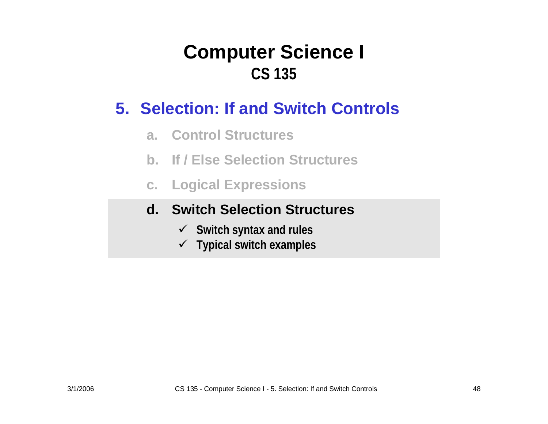#### **5. Selection: If and Switch Controls**

- **a. Control Structures**
- **b. If / Else Selection Structures**
- **c. Logical Expressions**

#### **d. Switch Selection Structures**

- 9 **Switch syntax and rules**
- 9 **Typical switch examples**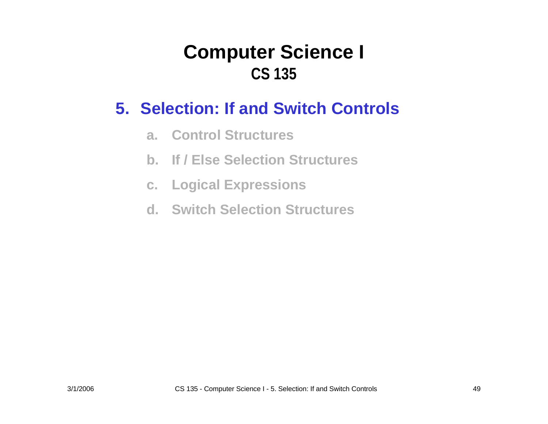#### **5. Selection: If and Switch Controls**

- **a. Control Structures**
- **b. If / Else Selection Structures**
- **c. Logical Expressions**
- **d. Switch Selection Structures**